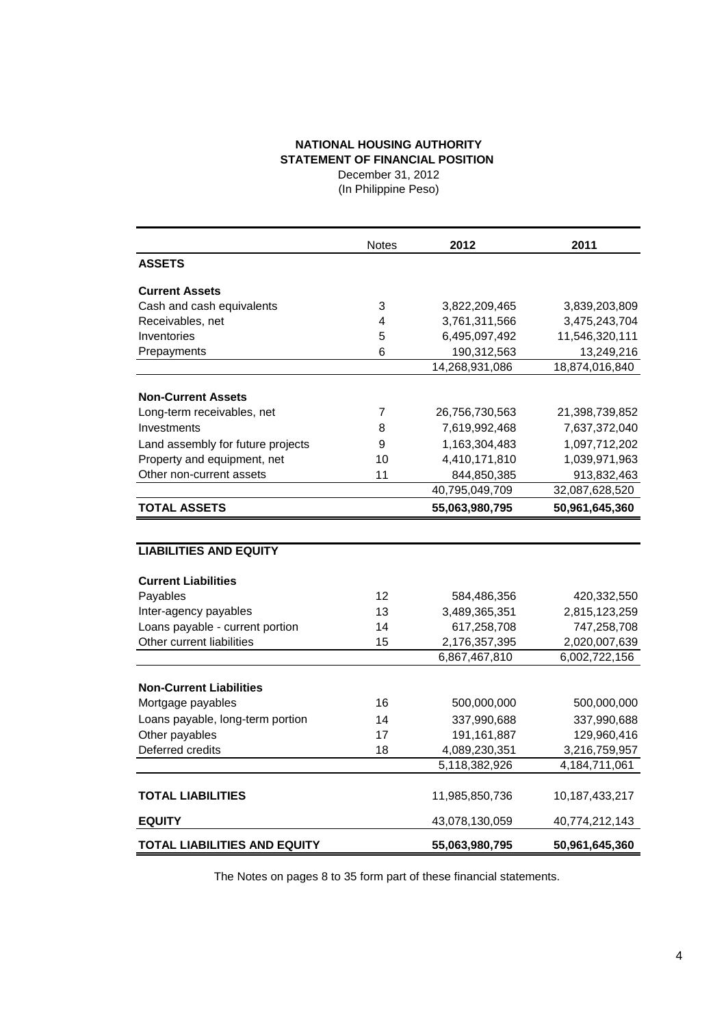## **NATIONAL HOUSING AUTHORITY STATEMENT OF FINANCIAL POSITION**

December 31, 2012 (In Philippine Peso)

|                                   | <b>Notes</b> | 2012           | 2011             |
|-----------------------------------|--------------|----------------|------------------|
| <b>ASSETS</b>                     |              |                |                  |
| <b>Current Assets</b>             |              |                |                  |
| Cash and cash equivalents         | 3            | 3,822,209,465  | 3,839,203,809    |
| Receivables, net                  | 4            | 3,761,311,566  | 3,475,243,704    |
| Inventories                       | 5            | 6,495,097,492  | 11,546,320,111   |
| Prepayments                       | 6            | 190,312,563    | 13,249,216       |
|                                   |              | 14,268,931,086 | 18,874,016,840   |
| <b>Non-Current Assets</b>         |              |                |                  |
| Long-term receivables, net        | 7            | 26,756,730,563 | 21,398,739,852   |
| Investments                       | 8            | 7,619,992,468  | 7,637,372,040    |
| Land assembly for future projects | 9            | 1,163,304,483  | 1,097,712,202    |
| Property and equipment, net       | 10           | 4,410,171,810  | 1,039,971,963    |
| Other non-current assets          | 11           | 844,850,385    | 913,832,463      |
|                                   |              | 40,795,049,709 | 32,087,628,520   |
| <b>TOTAL ASSETS</b>               |              | 55,063,980,795 | 50,961,645,360   |
|                                   |              |                |                  |
| <b>LIABILITIES AND EQUITY</b>     |              |                |                  |
| <b>Current Liabilities</b>        |              |                |                  |
| Payables                          | 12           | 584,486,356    | 420,332,550      |
| Inter-agency payables             | 13           | 3,489,365,351  | 2,815,123,259    |
| Loans payable - current portion   | 14           | 617,258,708    | 747,258,708      |
| Other current liabilities         | 15           | 2,176,357,395  | 2,020,007,639    |
|                                   |              | 6,867,467,810  | 6,002,722,156    |
|                                   |              |                |                  |
| <b>Non-Current Liabilities</b>    |              |                |                  |
| Mortgage payables                 | 16           | 500,000,000    | 500,000,000      |
| Loans payable, long-term portion  | 14           | 337,990,688    | 337,990,688      |
| Other payables                    | 17           | 191,161,887    | 129,960,416      |
| Deferred credits                  | 18           | 4,089,230,351  | 3,216,759,957    |
|                                   |              | 5,118,382,926  | 4, 184, 711, 061 |
|                                   |              |                |                  |
| <b>TOTAL LIABILITIES</b>          |              | 11,985,850,736 | 10,187,433,217   |
| <b>EQUITY</b>                     |              | 43,078,130,059 | 40,774,212,143   |
| TOTAL LIABILITIES AND EQUITY      |              | 55,063,980,795 | 50,961,645,360   |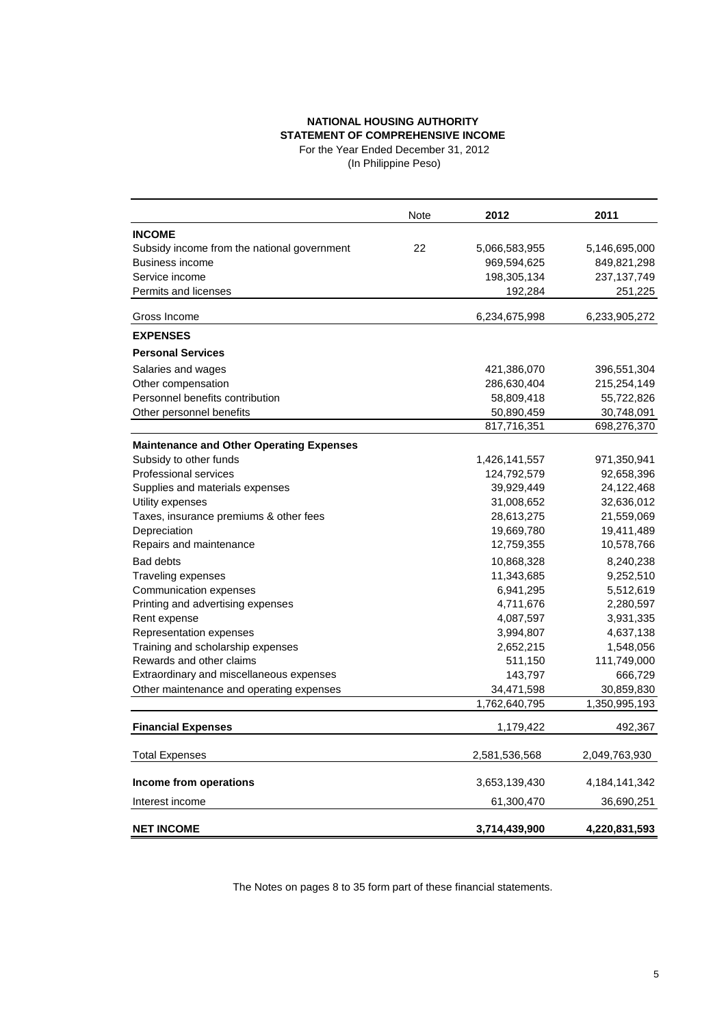## **NATIONAL HOUSING AUTHORITY STATEMENT OF COMPREHENSIVE INCOME**

For the Year Ended December 31, 2012 (In Philippine Peso)

|                                                 | <b>Note</b> | 2012          | 2011          |
|-------------------------------------------------|-------------|---------------|---------------|
| <b>INCOME</b>                                   |             |               |               |
| Subsidy income from the national government     | 22          | 5,066,583,955 | 5,146,695,000 |
| <b>Business income</b>                          |             | 969,594,625   | 849,821,298   |
| Service income                                  |             | 198,305,134   | 237,137,749   |
| Permits and licenses                            |             | 192,284       | 251,225       |
| Gross Income                                    |             | 6,234,675,998 | 6,233,905,272 |
| <b>EXPENSES</b>                                 |             |               |               |
| <b>Personal Services</b>                        |             |               |               |
| Salaries and wages                              |             | 421,386,070   | 396,551,304   |
| Other compensation                              |             | 286,630,404   | 215,254,149   |
| Personnel benefits contribution                 |             | 58,809,418    | 55,722,826    |
| Other personnel benefits                        |             | 50,890,459    | 30,748,091    |
|                                                 |             | 817,716,351   | 698,276,370   |
| <b>Maintenance and Other Operating Expenses</b> |             |               |               |
| Subsidy to other funds                          |             | 1,426,141,557 | 971,350,941   |
| <b>Professional services</b>                    |             | 124,792,579   | 92,658,396    |
| Supplies and materials expenses                 |             | 39,929,449    | 24,122,468    |
| Utility expenses                                |             | 31,008,652    | 32,636,012    |
| Taxes, insurance premiums & other fees          |             | 28,613,275    | 21,559,069    |
| Depreciation                                    |             | 19,669,780    | 19,411,489    |
| Repairs and maintenance                         |             | 12,759,355    | 10,578,766    |
| <b>Bad debts</b>                                |             | 10,868,328    | 8,240,238     |
| <b>Traveling expenses</b>                       |             | 11,343,685    | 9,252,510     |
| Communication expenses                          |             | 6,941,295     | 5,512,619     |
| Printing and advertising expenses               |             | 4,711,676     | 2,280,597     |
| Rent expense                                    |             | 4,087,597     | 3,931,335     |
| Representation expenses                         |             | 3,994,807     | 4,637,138     |
| Training and scholarship expenses               |             | 2,652,215     | 1,548,056     |
| Rewards and other claims                        |             | 511,150       | 111,749,000   |
| Extraordinary and miscellaneous expenses        |             | 143,797       | 666,729       |
| Other maintenance and operating expenses        |             | 34,471,598    | 30,859,830    |
|                                                 |             | 1,762,640,795 | 1,350,995,193 |
| <b>Financial Expenses</b>                       |             | 1,179,422     | 492,367       |
| <b>Total Expenses</b>                           |             | 2,581,536,568 | 2,049,763,930 |
| Income from operations                          |             | 3,653,139,430 | 4,184,141,342 |
| Interest income                                 |             | 61,300,470    | 36,690,251    |
| <b>NET INCOME</b>                               |             | 3,714,439,900 | 4,220,831,593 |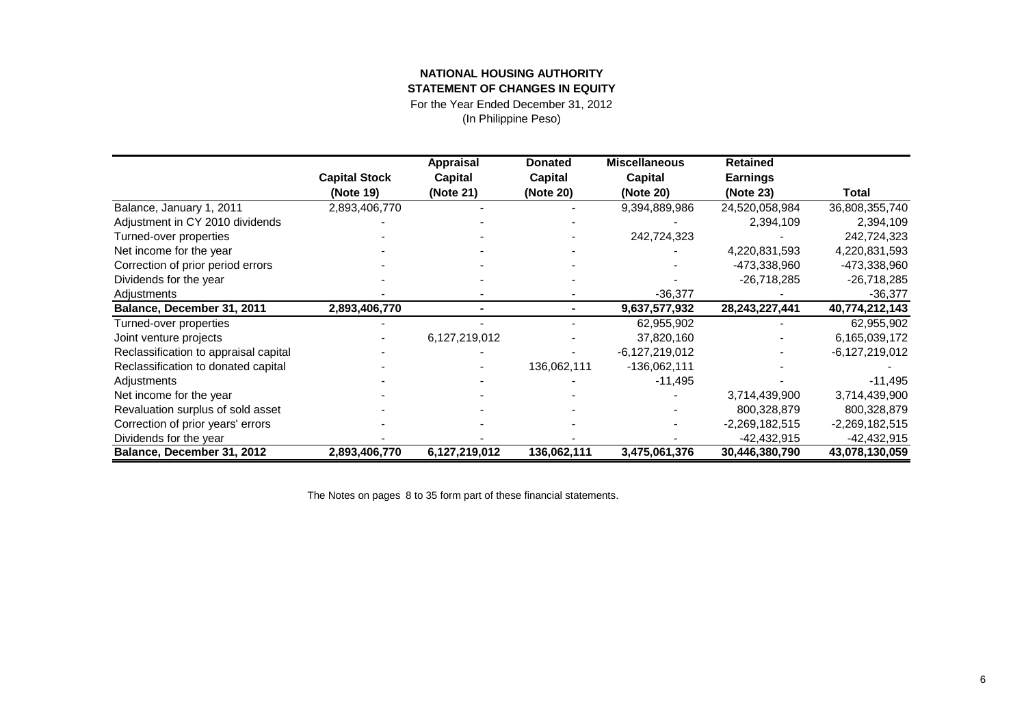## **NATIONAL HOUSING AUTHORITY**

**STATEMENT OF CHANGES IN EQUITY**

For the Year Ended December 31, 2012

(In Philippine Peso)

|                                       |                      | <b>Appraisal</b> | <b>Donated</b> | <b>Miscellaneous</b> | <b>Retained</b>  |                  |
|---------------------------------------|----------------------|------------------|----------------|----------------------|------------------|------------------|
|                                       | <b>Capital Stock</b> | Capital          | Capital        | Capital              | <b>Earnings</b>  |                  |
|                                       | (Note 19)            | (Note 21)        | (Note 20)      | (Note 20)            | (Note 23)        | Total            |
| Balance, January 1, 2011              | 2,893,406,770        |                  |                | 9,394,889,986        | 24,520,058,984   | 36,808,355,740   |
| Adjustment in CY 2010 dividends       |                      |                  |                |                      | 2,394,109        | 2,394,109        |
| Turned-over properties                |                      |                  |                | 242,724,323          |                  | 242,724,323      |
| Net income for the year               |                      |                  |                |                      | 4,220,831,593    | 4,220,831,593    |
| Correction of prior period errors     |                      |                  |                |                      | -473,338,960     | -473,338,960     |
| Dividends for the year                |                      |                  |                |                      | $-26,718,285$    | $-26,718,285$    |
| Adjustments                           |                      |                  |                | $-36,377$            |                  | $-36,377$        |
| Balance, December 31, 2011            | 2,893,406,770        |                  |                | 9,637,577,932        | 28,243,227,441   | 40,774,212,143   |
| Turned-over properties                |                      |                  |                | 62,955,902           |                  | 62,955,902       |
| Joint venture projects                |                      | 6,127,219,012    |                | 37,820,160           |                  | 6,165,039,172    |
| Reclassification to appraisal capital |                      |                  |                | -6,127,219,012       |                  | -6,127,219,012   |
| Reclassification to donated capital   |                      |                  | 136,062,111    | $-136,062,111$       |                  |                  |
| Adjustments                           |                      |                  |                | $-11,495$            |                  | $-11,495$        |
| Net income for the year               |                      |                  |                |                      | 3,714,439,900    | 3,714,439,900    |
| Revaluation surplus of sold asset     |                      |                  |                |                      | 800,328,879      | 800,328,879      |
| Correction of prior years' errors     |                      |                  |                |                      | $-2,269,182,515$ | $-2,269,182,515$ |
| Dividends for the year                |                      |                  |                |                      | $-42,432,915$    | $-42,432,915$    |
| Balance, December 31, 2012            | 2,893,406,770        | 6,127,219,012    | 136,062,111    | 3,475,061,376        | 30,446,380,790   | 43,078,130,059   |